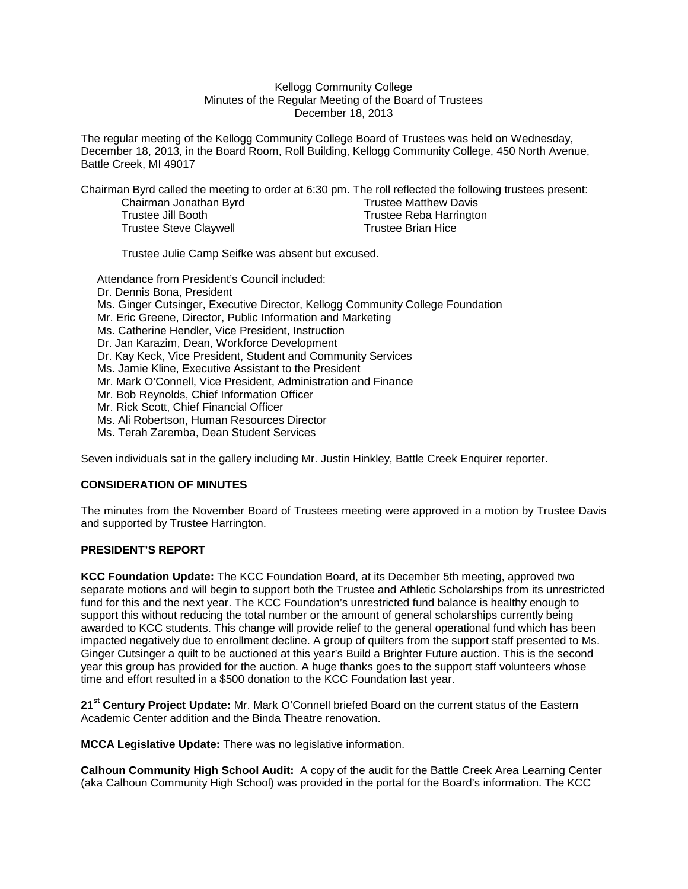#### Kellogg Community College Minutes of the Regular Meeting of the Board of Trustees December 18, 2013

The regular meeting of the Kellogg Community College Board of Trustees was held on Wednesday, December 18, 2013, in the Board Room, Roll Building, Kellogg Community College, 450 North Avenue, Battle Creek, MI 49017

Chairman Byrd called the meeting to order at 6:30 pm. The roll reflected the following trustees present:

| Chairman Jonathan Byrd        |
|-------------------------------|
| Trustee Jill Booth            |
| <b>Trustee Steve Claywell</b> |

Trustee Matthew Davis Trustee Reba Harrington Trustee Brian Hice

Trustee Julie Camp Seifke was absent but excused.

Attendance from President's Council included: Dr. Dennis Bona, President Ms. Ginger Cutsinger, Executive Director, Kellogg Community College Foundation Mr. Eric Greene, Director, Public Information and Marketing Ms. Catherine Hendler, Vice President, Instruction Dr. Jan Karazim, Dean, Workforce Development Dr. Kay Keck, Vice President, Student and Community Services Ms. Jamie Kline, Executive Assistant to the President Mr. Mark O'Connell, Vice President, Administration and Finance Mr. Bob Reynolds, Chief Information Officer Mr. Rick Scott, Chief Financial Officer Ms. Ali Robertson, Human Resources Director Ms. Terah Zaremba, Dean Student Services

Seven individuals sat in the gallery including Mr. Justin Hinkley, Battle Creek Enquirer reporter.

## **CONSIDERATION OF MINUTES**

The minutes from the November Board of Trustees meeting were approved in a motion by Trustee Davis and supported by Trustee Harrington.

#### **PRESIDENT'S REPORT**

**KCC Foundation Update:** The KCC Foundation Board, at its December 5th meeting, approved two separate motions and will begin to support both the Trustee and Athletic Scholarships from its unrestricted fund for this and the next year. The KCC Foundation's unrestricted fund balance is healthy enough to support this without reducing the total number or the amount of general scholarships currently being awarded to KCC students. This change will provide relief to the general operational fund which has been impacted negatively due to enrollment decline. A group of quilters from the support staff presented to Ms. Ginger Cutsinger a quilt to be auctioned at this year's Build a Brighter Future auction. This is the second year this group has provided for the auction. A huge thanks goes to the support staff volunteers whose time and effort resulted in a \$500 donation to the KCC Foundation last year.

**21st Century Project Update:** Mr. Mark O'Connell briefed Board on the current status of the Eastern Academic Center addition and the Binda Theatre renovation.

**MCCA Legislative Update:** There was no legislative information.

**Calhoun Community High School Audit:** A copy of the audit for the Battle Creek Area Learning Center (aka Calhoun Community High School) was provided in the portal for the Board's information. The KCC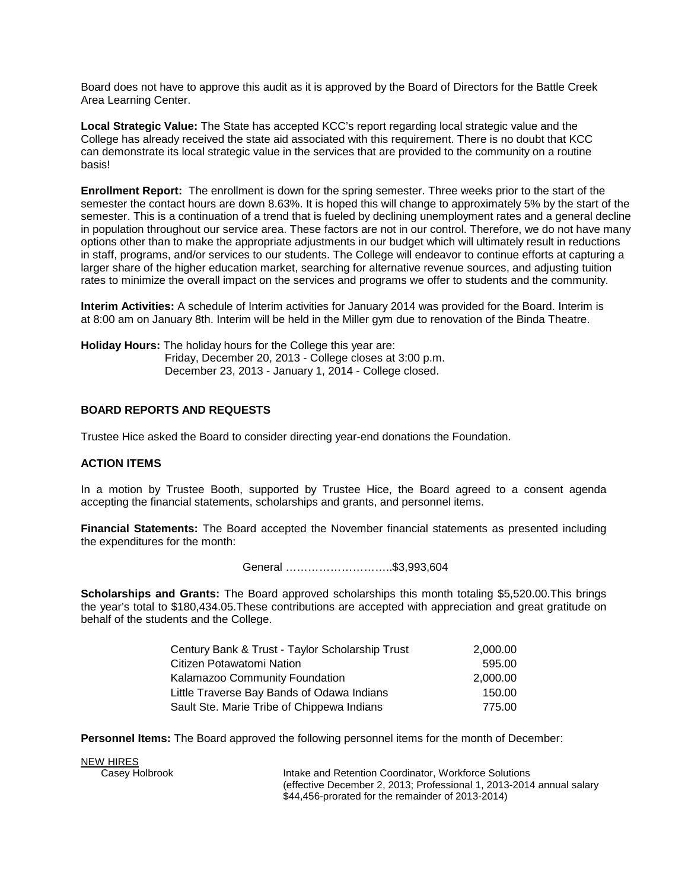Board does not have to approve this audit as it is approved by the Board of Directors for the Battle Creek Area Learning Center.

**Local Strategic Value:** The State has accepted KCC's report regarding local strategic value and the College has already received the state aid associated with this requirement. There is no doubt that KCC can demonstrate its local strategic value in the services that are provided to the community on a routine basis!

**Enrollment Report:** The enrollment is down for the spring semester. Three weeks prior to the start of the semester the contact hours are down 8.63%. It is hoped this will change to approximately 5% by the start of the semester. This is a continuation of a trend that is fueled by declining unemployment rates and a general decline in population throughout our service area. These factors are not in our control. Therefore, we do not have many options other than to make the appropriate adjustments in our budget which will ultimately result in reductions in staff, programs, and/or services to our students. The College will endeavor to continue efforts at capturing a larger share of the higher education market, searching for alternative revenue sources, and adjusting tuition rates to minimize the overall impact on the services and programs we offer to students and the community.

**Interim Activities:** A schedule of Interim activities for January 2014 was provided for the Board. Interim is at 8:00 am on January 8th. Interim will be held in the Miller gym due to renovation of the Binda Theatre.

**Holiday Hours:** The holiday hours for the College this year are: Friday, December 20, 2013 - College closes at 3:00 p.m. December 23, 2013 - January 1, 2014 - College closed.

# **BOARD REPORTS AND REQUESTS**

Trustee Hice asked the Board to consider directing year-end donations the Foundation.

## **ACTION ITEMS**

In a motion by Trustee Booth, supported by Trustee Hice, the Board agreed to a consent agenda accepting the financial statements, scholarships and grants, and personnel items.

**Financial Statements:** The Board accepted the November financial statements as presented including the expenditures for the month:

General ………………………..\$3,993,604

**Scholarships and Grants:** The Board approved scholarships this month totaling \$5,520.00.This brings the year's total to \$180,434.05.These contributions are accepted with appreciation and great gratitude on behalf of the students and the College.

| Century Bank & Trust - Taylor Scholarship Trust | 2,000.00 |
|-------------------------------------------------|----------|
| Citizen Potawatomi Nation                       | 595.00   |
| Kalamazoo Community Foundation                  | 2.000.00 |
| Little Traverse Bay Bands of Odawa Indians      | 150.00   |
| Sault Ste. Marie Tribe of Chippewa Indians      | 775.00   |

**Personnel Items:** The Board approved the following personnel items for the month of December:

**NEW HIRES**<br>Casey Holbrook

Intake and Retention Coordinator, Workforce Solutions (effective December 2, 2013; Professional 1, 2013-2014 annual salary \$44,456-prorated for the remainder of 2013-2014)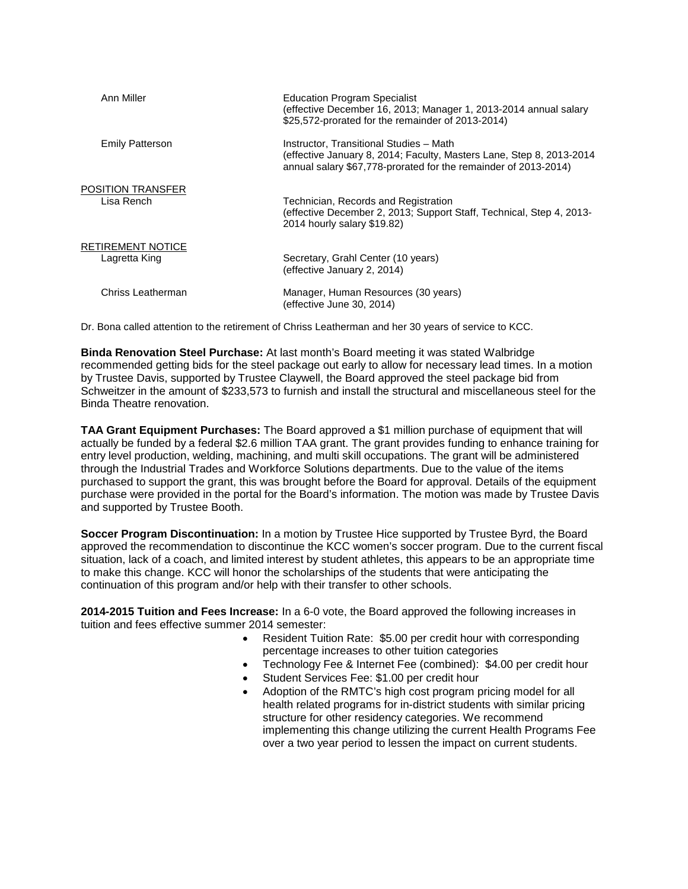| Ann Miller                         | <b>Education Program Specialist</b><br>(effective December 16, 2013; Manager 1, 2013-2014 annual salary<br>\$25,572-prorated for the remainder of 2013-2014)                       |
|------------------------------------|------------------------------------------------------------------------------------------------------------------------------------------------------------------------------------|
| <b>Emily Patterson</b>             | Instructor, Transitional Studies - Math<br>(effective January 8, 2014; Faculty, Masters Lane, Step 8, 2013-2014<br>annual salary \$67,778-prorated for the remainder of 2013-2014) |
| POSITION TRANSFER<br>Lisa Rench    | Technician, Records and Registration<br>(effective December 2, 2013; Support Staff, Technical, Step 4, 2013-<br>2014 hourly salary \$19.82)                                        |
| RETIREMENT NOTICE<br>Lagretta King | Secretary, Grahl Center (10 years)<br>(effective January 2, 2014)                                                                                                                  |
| Chriss Leatherman                  | Manager, Human Resources (30 years)<br>(effective June 30, 2014)                                                                                                                   |

Dr. Bona called attention to the retirement of Chriss Leatherman and her 30 years of service to KCC.

**Binda Renovation Steel Purchase:** At last month's Board meeting it was stated Walbridge recommended getting bids for the steel package out early to allow for necessary lead times. In a motion by Trustee Davis, supported by Trustee Claywell, the Board approved the steel package bid from Schweitzer in the amount of \$233,573 to furnish and install the structural and miscellaneous steel for the Binda Theatre renovation.

**TAA Grant Equipment Purchases:** The Board approved a \$1 million purchase of equipment that will actually be funded by a federal \$2.6 million TAA grant. The grant provides funding to enhance training for entry level production, welding, machining, and multi skill occupations. The grant will be administered through the Industrial Trades and Workforce Solutions departments. Due to the value of the items purchased to support the grant, this was brought before the Board for approval. Details of the equipment purchase were provided in the portal for the Board's information. The motion was made by Trustee Davis and supported by Trustee Booth.

**Soccer Program Discontinuation:** In a motion by Trustee Hice supported by Trustee Byrd, the Board approved the recommendation to discontinue the KCC women's soccer program. Due to the current fiscal situation, lack of a coach, and limited interest by student athletes, this appears to be an appropriate time to make this change. KCC will honor the scholarships of the students that were anticipating the continuation of this program and/or help with their transfer to other schools.

**2014-2015 Tuition and Fees Increase:** In a 6-0 vote, the Board approved the following increases in tuition and fees effective summer 2014 semester:

- Resident Tuition Rate: \$5.00 per credit hour with corresponding percentage increases to other tuition categories
- Technology Fee & Internet Fee (combined): \$4.00 per credit hour
- Student Services Fee: \$1.00 per credit hour
- Adoption of the RMTC's high cost program pricing model for all health related programs for in-district students with similar pricing structure for other residency categories. We recommend implementing this change utilizing the current Health Programs Fee over a two year period to lessen the impact on current students.